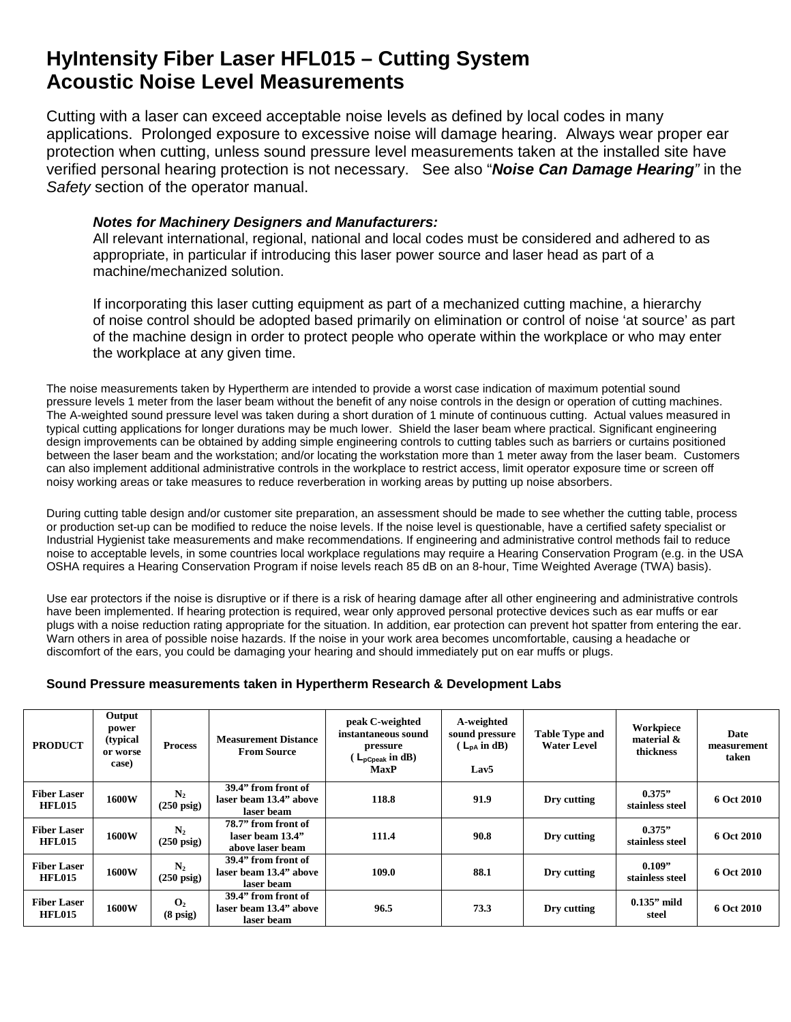## **HyIntensity Fiber Laser HFL015 – Cutting System Acoustic Noise Level Measurements**

Cutting with a laser can exceed acceptable noise levels as defined by local codes in many applications. Prolonged exposure to excessive noise will damage hearing. Always wear proper ear protection when cutting, unless sound pressure level measurements taken at the installed site have verified personal hearing protection is not necessary. See also "*Noise Can Damage Hearing"* in the *Safety* section of the operator manual.

## *Notes for Machinery Designers and Manufacturers:*

All relevant international, regional, national and local codes must be considered and adhered to as appropriate, in particular if introducing this laser power source and laser head as part of a machine/mechanized solution.

If incorporating this laser cutting equipment as part of a mechanized cutting machine, a hierarchy of noise control should be adopted based primarily on elimination or control of noise 'at source' as part of the machine design in order to protect people who operate within the workplace or who may enter the workplace at any given time.

The noise measurements taken by Hypertherm are intended to provide a worst case indication of maximum potential sound pressure levels 1 meter from the laser beam without the benefit of any noise controls in the design or operation of cutting machines. The A-weighted sound pressure level was taken during a short duration of 1 minute of continuous cutting. Actual values measured in typical cutting applications for longer durations may be much lower. Shield the laser beam where practical. Significant engineering design improvements can be obtained by adding simple engineering controls to cutting tables such as barriers or curtains positioned between the laser beam and the workstation; and/or locating the workstation more than 1 meter away from the laser beam. Customers can also implement additional administrative controls in the workplace to restrict access, limit operator exposure time or screen off noisy working areas or take measures to reduce reverberation in working areas by putting up noise absorbers.

During cutting table design and/or customer site preparation, an assessment should be made to see whether the cutting table, process or production set-up can be modified to reduce the noise levels. If the noise level is questionable, have a certified safety specialist or Industrial Hygienist take measurements and make recommendations. If engineering and administrative control methods fail to reduce noise to acceptable levels, in some countries local workplace regulations may require a Hearing Conservation Program (e.g. in the USA OSHA requires a Hearing Conservation Program if noise levels reach 85 dB on an 8-hour, Time Weighted Average (TWA) basis).

Use ear protectors if the noise is disruptive or if there is a risk of hearing damage after all other engineering and administrative controls have been implemented. If hearing protection is required, wear only approved personal protective devices such as ear muffs or ear plugs with a noise reduction rating appropriate for the situation. In addition, ear protection can prevent hot spatter from entering the ear. Warn others in area of possible noise hazards. If the noise in your work area becomes uncomfortable, causing a headache or discomfort of the ears, you could be damaging your hearing and should immediately put on ear muffs or plugs.

## **Sound Pressure measurements taken in Hypertherm Research & Development Labs**

| <b>PRODUCT</b>                      | Output<br>power<br>(typical)<br>or worse<br>case) | <b>Process</b>                         | <b>Measurement Distance</b><br><b>From Source</b>           | peak C-weighted<br>instantaneous sound<br>pressure<br>$\mathcal{L}_{\text{pCpeak}}$ in dB)<br><b>MaxP</b> | A-weighted<br>sound pressure<br>$(L_{DA} \text{ in dB})$<br>Lav <sub>5</sub> | <b>Table Type and</b><br>Water Level | Workpiece<br>material &<br>thickness | Date<br>measurement<br>taken |
|-------------------------------------|---------------------------------------------------|----------------------------------------|-------------------------------------------------------------|-----------------------------------------------------------------------------------------------------------|------------------------------------------------------------------------------|--------------------------------------|--------------------------------------|------------------------------|
| <b>Fiber Laser</b><br><b>HFL015</b> | 1600W                                             | $\mathbf{N}_2$<br>$(250 \text{ psig})$ | 39.4" from front of<br>laser beam 13.4" above<br>laser beam | 118.8                                                                                                     | 91.9                                                                         | Dry cutting                          | 0.375"<br>stainless steel            | 6 Oct 2010                   |
| <b>Fiber Laser</b><br><b>HFL015</b> | 1600W                                             | $\mathbf{N}_2$<br>$(250 \text{ psig})$ | 78.7" from front of<br>laser beam 13.4"<br>above laser beam | 111.4                                                                                                     | 90.8                                                                         | Dry cutting                          | 0.375"<br>stainless steel            | 6 Oct 2010                   |
| <b>Fiber Laser</b><br><b>HFL015</b> | 1600W                                             | $\mathbf{N}_2$<br>$(250 \text{ psig})$ | 39.4" from front of<br>laser beam 13.4" above<br>laser beam | 109.0                                                                                                     | 88.1                                                                         | Dry cutting                          | 0.109"<br>stainless steel            | 6 Oct 2010                   |
| <b>Fiber Laser</b><br><b>HFL015</b> | 1600W                                             | $\mathbf{O}_2$<br>$(8 \text{ psig})$   | 39.4" from front of<br>laser beam 13.4" above<br>laser beam | 96.5                                                                                                      | 73.3                                                                         | Dry cutting                          | $0.135$ " mild<br>steel              | 6 Oct 2010                   |